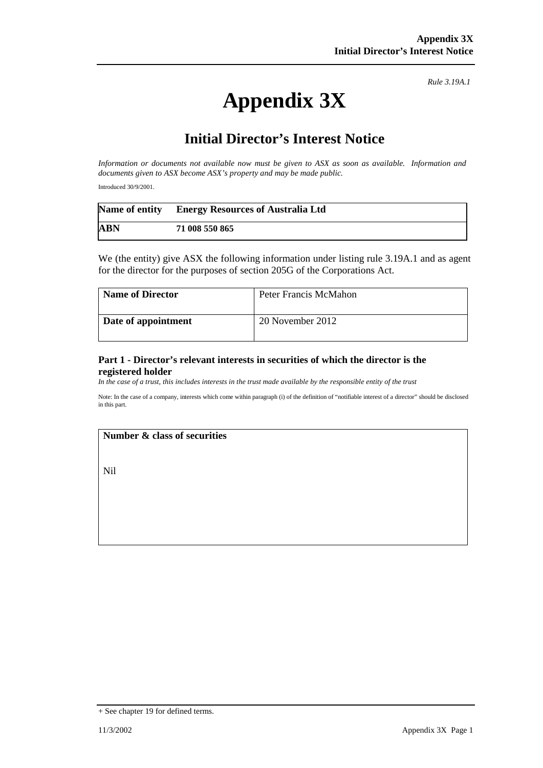# **Appendix 3X**

*Rule 3.19A.1*

## **Initial Director's Interest Notice**

*Information or documents not available now must be given to ASX as soon as available. Information and documents given to ASX become ASX's property and may be made public.*

Introduced 30/9/2001.

|            | Name of entity Energy Resources of Australia Ltd |
|------------|--------------------------------------------------|
| <b>ABN</b> | 71 008 550 865                                   |

We (the entity) give ASX the following information under listing rule 3.19A.1 and as agent for the director for the purposes of section 205G of the Corporations Act.

| <b>Name of Director</b> | Peter Francis McMahon |
|-------------------------|-----------------------|
| Date of appointment     | 20 November 2012      |

#### **Part 1 - Director's relevant interests in securities of which the director is the registered holder**

*In the case of a trust, this includes interests in the trust made available by the responsible entity of the trust*

Note: In the case of a company, interests which come within paragraph (i) of the definition of "notifiable interest of a director" should be disclosed in this part.

#### **Number & class of securities**

Nil

<sup>+</sup> See chapter 19 for defined terms.